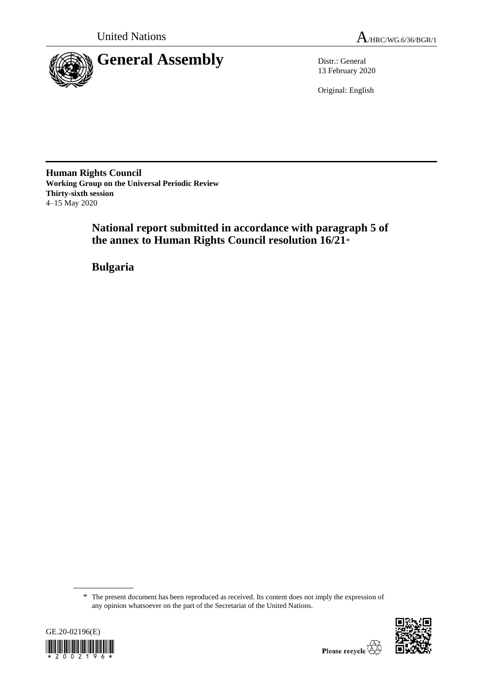



13 February 2020

Original: English

**Human Rights Council Working Group on the Universal Periodic Review Thirty-sixth session** 4–15 May 2020

> **National report submitted in accordance with paragraph 5 of the annex to Human Rights Council resolution 16/21**\*

**Bulgaria**

<sup>\*</sup> The present document has been reproduced as received. Its content does not imply the expression of any opinion whatsoever on the part of the Secretariat of the United Nations.



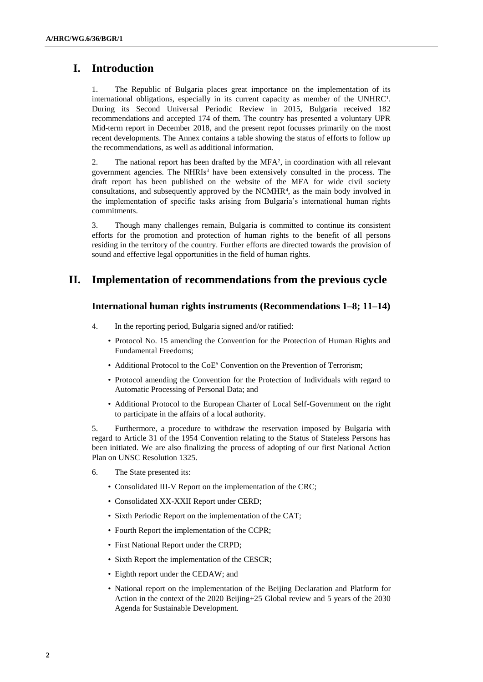# **I. Introduction**

1. The Republic of Bulgaria places great importance on the implementation of its international obligations, especially in its current capacity as member of the UNHRC<sup>1</sup>. During its Second Universal Periodic Review in 2015, Bulgaria received 182 recommendations and accepted 174 of them. The country has presented a voluntary UPR Mid-term report in December 2018, and the present repot focusses primarily on the most recent developments. The Annex contains a table showing the status of efforts to follow up the recommendations, as well as additional information.

2. The national report has been drafted by the MFA<sup>2</sup> , in coordination with all relevant government agencies. The NHRIs<sup>3</sup> have been extensively consulted in the process. The draft report has been published on the website of the MFA for wide civil society consultations, and subsequently approved by the NCMHR<sup>4</sup> , as the main body involved in the implementation of specific tasks arising from Bulgaria's international human rights commitments.

3. Though many challenges remain, Bulgaria is committed to continue its consistent efforts for the promotion and protection of human rights to the benefit of all persons residing in the territory of the country. Further efforts are directed towards the provision of sound and effective legal opportunities in the field of human rights.

# **II. Implementation of recommendations from the previous cycle**

#### **International human rights instruments (Recommendations 1–8; 11–14)**

- 4. In the reporting period, Bulgaria signed and/or ratified:
	- Protocol No. 15 amending the Convention for the Protection of Human Rights and Fundamental Freedoms;
	- Additional Protocol to the CoE<sup>5</sup> Convention on the Prevention of Terrorism;
	- Protocol amending the Convention for the Protection of Individuals with regard to Automatic Processing of Personal Data; and
	- Additional Protocol to the European Charter of Local Self-Government on the right to participate in the affairs of a local authority.

5. Furthermore, a procedure to withdraw the reservation imposed by Bulgaria with regard to Article 31 of the 1954 Convention relating to the Status of Stateless Persons has been initiated. We are also finalizing the process of adopting of our first National Action Plan on UNSC Resolution 1325.

- 6. The State presented its:
	- Consolidated III-V Report on the implementation of the CRC;
	- Consolidated XX-XXII Report under CERD;
	- Sixth Periodic Report on the implementation of the CAT;
	- Fourth Report the implementation of the CCPR;
	- First National Report under the CRPD;
	- Sixth Report the implementation of the CESCR;
	- Eighth report under the CEDAW; and
	- National report on the implementation of the Beijing Declaration and Platform for Action in the context of the 2020 Beijing+25 Global review and 5 years of the 2030 Agenda for Sustainable Development.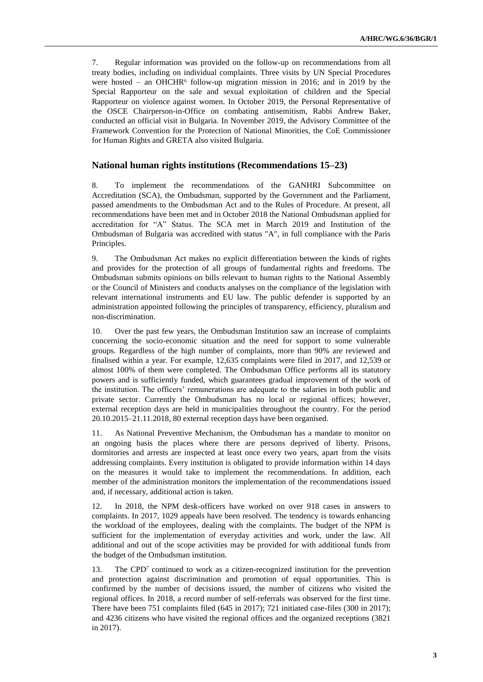7. Regular information was provided on the follow-up on recommendations from all treaty bodies, including on individual complaints. Three visits by UN Special Procedures were hosted – an OHCHR<sup>6</sup> follow-up migration mission in 2016; and in 2019 by the Special Rapporteur on the sale and sexual exploitation of children and the Special Rapporteur on violence against women. In October 2019, the Personal Representative of the OSCE Chairperson-in-Office on combating antisemitism, Rabbi Andrew Baker, conducted an official visit in Bulgaria. In November 2019, the Advisory Committee of the Framework Convention for the Protection of National Minorities, the CoE Commissioner for Human Rights and GRETA also visited Bulgaria.

#### **National human rights institutions (Recommendations 15–23)**

8. To implement the recommendations of the GANHRI Subcommittee on Accreditation (SCA), the Ombudsman, supported by the Government and the Parliament, passed amendments to the Ombudsman Act and to the Rules of Procedure. At present, all recommendations have been met and in October 2018 the National Ombudsman applied for accreditation for "A" Status. The SCA met in March 2019 and Institution of the Ombudsman of Bulgaria was accredited with status "A", in full compliance with the Paris Principles.

9. The Ombudsman Act makes no explicit differentiation between the kinds of rights and provides for the protection of all groups of fundamental rights and freedoms. The Ombudsman submits opinions on bills relevant to human rights to the National Assembly or the Council of Ministers and conducts analyses on the compliance of the legislation with relevant international instruments and EU law. The public defender is supported by an administration appointed following the principles of transparency, efficiency, pluralism and non-discrimination.

10. Over the past few years, the Ombudsman Institution saw an increase of complaints concerning the socio-economic situation and the need for support to some vulnerable groups. Regardless of the high number of complaints, more than 90% are reviewed and finalised within a year. For example, 12,635 complaints were filed in 2017, and 12,539 or almost 100% of them were completed. The Ombudsman Office performs all its statutory powers and is sufficiently funded, which guarantees gradual improvement of the work of the institution. The officers' remunerations are adequate to the salaries in both public and private sector. Currently the Ombudsman has no local or regional offices; however, external reception days are held in municipalities throughout the country. For the period 20.10.2015–21.11.2018, 80 external reception days have been organised.

11. As National Preventive Mechanism, the Ombudsman has a mandate to monitor on an ongoing basis the places where there are persons deprived of liberty. Prisons, dormitories and arrests are inspected at least once every two years, apart from the visits addressing complaints. Every institution is obligated to provide information within 14 days on the measures it would take to implement the recommendations. In addition, each member of the administration monitors the implementation of the recommendations issued and, if necessary, additional action is taken.

12. In 2018, the NPM desk-officers have worked on over 918 cases in answers to complaints. In 2017, 1029 appeals have been resolved. The tendency is towards enhancing the workload of the employees, dealing with the complaints. The budget of the NPM is sufficient for the implementation of everyday activities and work, under the law. All additional and out of the scope activities may be provided for with additional funds from the budget of the Ombudsman institution.

13. The CPD<sup>7</sup> continued to work as a citizen-recognized institution for the prevention and protection against discrimination and promotion of equal opportunities. This is confirmed by the number of decisions issued, the number of citizens who visited the regional offices. In 2018, a record number of self-referrals was observed for the first time. There have been 751 complaints filed (645 in 2017); 721 initiated case-files (300 in 2017); and 4236 citizens who have visited the regional offices and the organized receptions (3821 in 2017).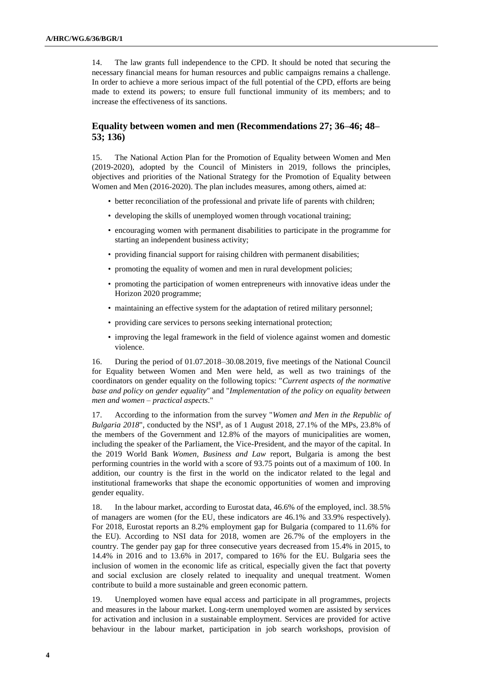14. The law grants full independence to the CPD. It should be noted that securing the necessary financial means for human resources and public campaigns remains a challenge. In order to achieve a more serious impact of the full potential of the CPD, efforts are being made to extend its powers; to ensure full functional immunity of its members; and to increase the effectiveness of its sanctions.

# **Equality between women and men (Recommendations 27; 36–46; 48– 53; 136)**

15. The National Action Plan for the Promotion of Equality between Women and Men (2019-2020), adopted by the Council of Ministers in 2019, follows the principles, objectives and priorities of the National Strategy for the Promotion of Equality between Women and Men (2016-2020). The plan includes measures, among others, aimed at:

- better reconciliation of the professional and private life of parents with children;
- developing the skills of unemployed women through vocational training;
- encouraging women with permanent disabilities to participate in the programme for starting an independent business activity;
- providing financial support for raising children with permanent disabilities;
- promoting the equality of women and men in rural development policies;
- promoting the participation of women entrepreneurs with innovative ideas under the Horizon 2020 programme;
- maintaining an effective system for the adaptation of retired military personnel;
- providing care services to persons seeking international protection;
- improving the legal framework in the field of violence against women and domestic violence.

16. During the period of 01.07.2018–30.08.2019, five meetings of the National Council for Equality between Women and Men were held, as well as two trainings of the coordinators on gender equality on the following topics: "*Current aspects of the normative base and policy on gender equality*" and "*Implementation of the policy on equality between men and women – practical aspects*."

17. According to the information from the survey "*Women and Men in the Republic of*  Bulgaria 2018", conducted by the NSI<sup>8</sup>, as of 1 August 2018, 27.1% of the MPs, 23.8% of the members of the Government and 12.8% of the mayors of municipalities are women, including the speaker of the Parliament, the Vice-President, and the mayor of the capital. In the 2019 World Bank *Women, Business and Law* report, Bulgaria is among the best performing countries in the world with a score of 93.75 points out of a maximum of 100. In addition, our country is the first in the world on the indicator related to the legal and institutional frameworks that shape the economic opportunities of women and improving gender equality.

18. In the labour market, according to Eurostat data, 46.6% of the employed, incl. 38.5% of managers are women (for the EU, these indicators are 46.1% and 33.9% respectively). For 2018, Eurostat reports an 8.2% employment gap for Bulgaria (compared to 11.6% for the EU). According to NSI data for 2018, women are 26.7% of the employers in the country. The gender pay gap for three consecutive years decreased from 15.4% in 2015, to 14.4% in 2016 and to 13.6% in 2017, compared to 16% for the EU. Bulgaria sees the inclusion of women in the economic life as critical, especially given the fact that poverty and social exclusion are closely related to inequality and unequal treatment. Women contribute to build a more sustainable and green economic pattern.

19. Unemployed women have equal access and participate in all programmes, projects and measures in the labour market. Long-term unemployed women are assisted by services for activation and inclusion in a sustainable employment. Services are provided for active behaviour in the labour market, participation in job search workshops, provision of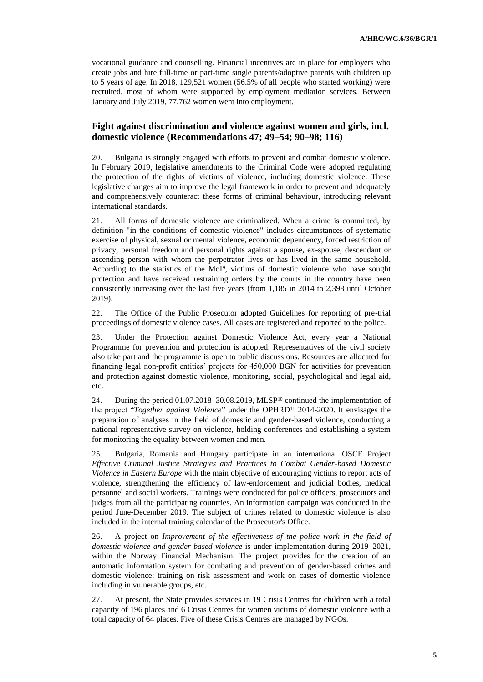vocational guidance and counselling. Financial incentives are in place for employers who create jobs and hire full-time or part-time single parents/adoptive parents with children up to 5 years of age. In 2018, 129,521 women (56.5% of all people who started working) were recruited, most of whom were supported by employment mediation services. Between January and July 2019, 77,762 women went into employment.

#### **Fight against discrimination and violence against women and girls, incl. domestic violence (Recommendations 47; 49–54; 90–98; 116)**

20. Bulgaria is strongly engaged with efforts to prevent and combat domestic violence. In February 2019, legislative amendments to the Criminal Code were adopted regulating the protection of the rights of victims of violence, including domestic violence. These legislative changes aim to improve the legal framework in order to prevent and adequately and comprehensively counteract these forms of criminal behaviour, introducing relevant international standards.

21. All forms of domestic violence are criminalized. When a crime is committed, by definition "in the conditions of domestic violence" includes circumstances of systematic exercise of physical, sexual or mental violence, economic dependency, forced restriction of privacy, personal freedom and personal rights against a spouse, ex-spouse, descendant or ascending person with whom the perpetrator lives or has lived in the same household. According to the statistics of the MoI<sup>9</sup> , victims of domestic violence who have sought protection and have received restraining orders by the courts in the country have been consistently increasing over the last five years (from 1,185 in 2014 to 2,398 until October 2019).

22. The Office of the Public Prosecutor adopted Guidelines for reporting of pre-trial proceedings of domestic violence cases. All cases are registered and reported to the police.

23. Under the Protection against Domestic Violence Act, every year a National Programme for prevention and protection is adopted. Representatives of the civil society also take part and the programme is open to public discussions. Resources are allocated for financing legal non-profit entities' projects for 450,000 BGN for activities for prevention and protection against domestic violence, monitoring, social, psychological and legal aid, etc.

24. During the period 01.07.2018-30.08.2019, MLSP<sup>10</sup> continued the implementation of the project "*Together against Violence*" under the OPHRD<sup>11</sup> 2014-2020. It envisages the preparation of analyses in the field of domestic and gender-based violence, conducting a national representative survey on violence, holding conferences and establishing a system for monitoring the equality between women and men.

25. Bulgaria, Romania and Hungary participate in an international OSCE Project *Effective Criminal Justice Strategies and Practices to Combat Gender-based Domestic Violence in Eastern Europe* with the main objective of encouraging victims to report acts of violence, strengthening the efficiency of law-enforcement and judicial bodies, medical personnel and social workers. Trainings were conducted for police officers, prosecutors and judges from all the participating countries. An information campaign was conducted in the period June-December 2019. The subject of crimes related to domestic violence is also included in the internal training calendar of the Prosecutor's Office.

26. A project on *Improvement of the effectiveness of the police work in the field of domestic violence and gender-based violence* is under implementation during 2019–2021, within the Norway Financial Mechanism. The project provides for the creation of an automatic information system for combating and prevention of gender-based crimes and domestic violence; training on risk assessment and work on cases of domestic violence including in vulnerable groups, etc.

27. At present, the State provides services in 19 Crisis Centres for children with a total capacity of 196 places and 6 Crisis Centres for women victims of domestic violence with a total capacity of 64 places. Five of these Crisis Centres are managed by NGOs.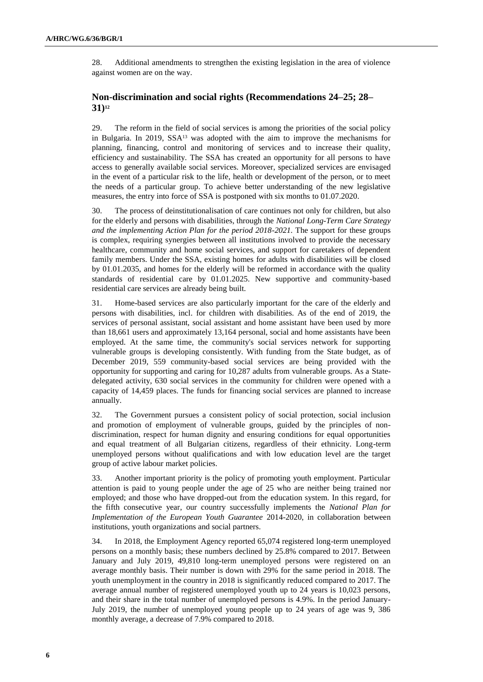28. Additional amendments to strengthen the existing legislation in the area of violence against women are on the way.

#### **Non-discrimination and social rights (Recommendations 24–25; 28– 31)<sup>12</sup>**

29. The reform in the field of social services is among the priorities of the social policy in Bulgaria. In 2019, SSA<sup>13</sup> was adopted with the aim to improve the mechanisms for planning, financing, control and monitoring of services and to increase their quality, efficiency and sustainability. The SSA has created an opportunity for all persons to have access to generally available social services. Moreover, specialized services are envisaged in the event of a particular risk to the life, health or development of the person, or to meet the needs of a particular group. To achieve better understanding of the new legislative measures, the entry into force of SSA is postponed with six months to 01.07.2020.

30. The process of deinstitutionalisation of care continues not only for children, but also for the elderly and persons with disabilities, through the *National Long-Term Care Strategy and the implementing Action Plan for the period 2018-2021.* The support for these groups is complex, requiring synergies between all institutions involved to provide the necessary healthcare, community and home social services, and support for caretakers of dependent family members. Under the SSA, existing homes for adults with disabilities will be closed by 01.01.2035, and homes for the elderly will be reformed in accordance with the quality standards of residential care by 01.01.2025. New supportive and community-based residential care services are already being built.

31. Home-based services are also particularly important for the care of the elderly and persons with disabilities, incl. for children with disabilities. As of the end of 2019, the services of personal assistant, social assistant and home assistant have been used by more than 18,661 users and approximately 13,164 personal, social and home assistants have been employed. At the same time, the community's social services network for supporting vulnerable groups is developing consistently. With funding from the State budget, as of December 2019, 559 community-based social services are being provided with the opportunity for supporting and caring for 10,287 adults from vulnerable groups. As a Statedelegated activity, 630 social services in the community for children were opened with a capacity of 14,459 places. The funds for financing social services are planned to increase annually.

32. The Government pursues a consistent policy of social protection, social inclusion and promotion of employment of vulnerable groups, guided by the principles of nondiscrimination, respect for human dignity and ensuring conditions for equal opportunities and equal treatment of all Bulgarian citizens, regardless of their ethnicity. Long-term unemployed persons without qualifications and with low education level are the target group of active labour market policies.

33. Another important priority is the policy of promoting youth employment. Particular attention is paid to young people under the age of 25 who are neither being trained nor employed; and those who have dropped-out from the education system. In this regard, for the fifth consecutive year, our country successfully implements the *National Plan for Implementation of the European Youth Guarantee* 2014-2020, in collaboration between institutions, youth organizations and social partners.

34. In 2018, the Employment Agency reported 65,074 registered long-term unemployed persons on a monthly basis; these numbers declined by 25.8% compared to 2017. Between January and July 2019, 49,810 long-term unemployed persons were registered on an average monthly basis. Their number is down with 29% for the same period in 2018. The youth unemployment in the country in 2018 is significantly reduced compared to 2017. The average annual number of registered unemployed youth up to 24 years is 10,023 persons, and their share in the total number of unemployed persons is 4.9%. In the period January-July 2019, the number of unemployed young people up to 24 years of age was 9, 386 monthly average, a decrease of 7.9% compared to 2018.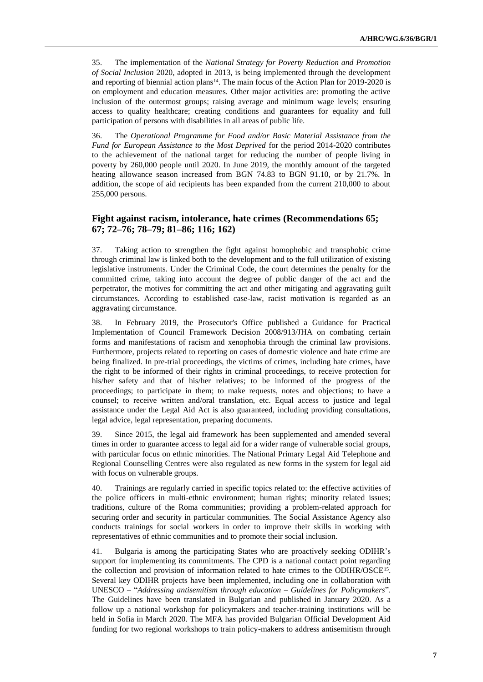35. The implementation of the *National Strategy for Poverty Reduction and Promotion of Social Inclusion* 2020, adopted in 2013, is being implemented through the development and reporting of biennial action plans<sup>14</sup>. The main focus of the Action Plan for  $2019-2020$  is on employment and education measures. Other major activities are: promoting the active inclusion of the outermost groups; raising average and minimum wage levels; ensuring access to quality healthcare; creating conditions and guarantees for equality and full participation of persons with disabilities in all areas of public life.

36. The *Operational Programme for Food and/or Basic Material Assistance from the Fund for European Assistance to the Most Deprived* for the period 2014-2020 contributes to the achievement of the national target for reducing the number of people living in poverty by 260,000 people until 2020. In June 2019, the monthly amount of the targeted heating allowance season increased from BGN 74.83 to BGN 91.10, or by 21.7%. In addition, the scope of aid recipients has been expanded from the current 210,000 to about 255,000 persons.

# **Fight against racism, intolerance, hate crimes (Recommendations 65; 67; 72–76; 78–79; 81–86; 116; 162)**

37. Taking action to strengthen the fight against homophobic and transphobic crime through criminal law is linked both to the development and to the full utilization of existing legislative instruments. Under the Criminal Code, the court determines the penalty for the committed crime, taking into account the degree of public danger of the act and the perpetrator, the motives for committing the act and other mitigating and aggravating guilt circumstances. According to established case-law, racist motivation is regarded as an aggravating circumstance.

38. In February 2019, the Prosecutor's Office published a Guidance for Practical Implementation of Council Framework Decision 2008/913/JHA on combating certain forms and manifestations of racism and xenophobia through the criminal law provisions. Furthermore, projects related to reporting on cases of domestic violence and hate crime are being finalized. In pre-trial proceedings, the victims of crimes, including hate crimes, have the right to be informed of their rights in criminal proceedings, to receive protection for his/her safety and that of his/her relatives; to be informed of the progress of the proceedings; to participate in them; to make requests, notes and objections; to have a counsel; to receive written and/oral translation, etc. Equal access to justice and legal assistance under the Legal Aid Act is also guaranteed, including providing consultations, legal advice, legal representation, preparing documents.

39. Since 2015, the legal aid framework has been supplemented and amended several times in order to guarantee access to legal aid for a wider range of vulnerable social groups, with particular focus on ethnic minorities. The National Primary Legal Aid Telephone and Regional Counselling Centres were also regulated as new forms in the system for legal aid with focus on vulnerable groups.

40. Trainings are regularly carried in specific topics related to: the effective activities of the police officers in multi-ethnic environment; human rights; minority related issues; traditions, culture of the Roma communities; providing a problem-related approach for securing order and security in particular communities. The Social Assistance Agency also conducts trainings for social workers in order to improve their skills in working with representatives of ethnic communities and to promote their social inclusion.

41. Bulgaria is among the participating States who are proactively seeking ODIHR's support for implementing its commitments. The CPD is a national contact point regarding the collection and provision of information related to hate crimes to the ODIHR/OSCE<sup>15</sup>. Several key ODIHR projects have been implemented, including one in collaboration with UNESCO – "*Addressing antisemitism through education – Guidelines for Policymakers*". The Guidelines have been translated in Bulgarian and published in January 2020. As a follow up a national workshop for policymakers and teacher-training institutions will be held in Sofia in March 2020. The MFA has provided Bulgarian Official Development Aid funding for two regional workshops to train policy-makers to address antisemitism through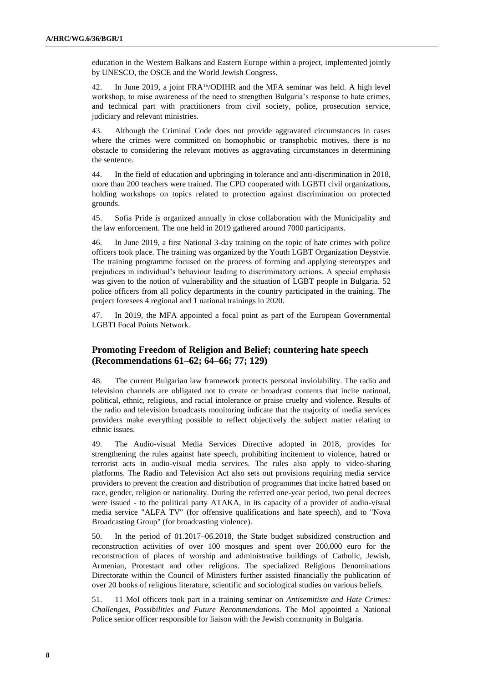education in the Western Balkans and Eastern Europe within a project, implemented jointly by UNESCO, the OSCE and the World Jewish Congress.

42. In June 2019, a joint FRA<sup>16</sup>/ODIHR and the MFA seminar was held. A high level workshop, to raise awareness of the need to strengthen Bulgaria's response to hate crimes, and technical part with practitioners from civil society, police, prosecution service, judiciary and relevant ministries.

43. Although the Criminal Code does not provide aggravated circumstances in cases where the crimes were committed on homophobic or transphobic motives, there is no obstacle to considering the relevant motives as aggravating circumstances in determining the sentence.

44. In the field of education and upbringing in tolerance and anti-discrimination in 2018, more than 200 teachers were trained. The CPD cooperated with LGBTI civil organizations, holding workshops on topics related to protection against discrimination on protected grounds.

45. Sofia Pride is organized annually in close collaboration with the Municipality and the law enforcement. The one held in 2019 gathered around 7000 participants.

46. In June 2019, a first National 3-day training on the topic of hate crimes with police officers took place. The training was organized by the Youth LGBT Organization Deystvie. The training programme focused on the process of forming and applying stereotypes and prejudices in individual's behaviour leading to discriminatory actions. A special emphasis was given to the notion of vulnerability and the situation of LGBT people in Bulgaria. 52 police officers from all policy departments in the country participated in the training. The project foresees 4 regional and 1 national trainings in 2020.

47. In 2019, the MFA appointed a focal point as part of the European Governmental LGBTI Focal Points Network.

# **Promoting Freedom of Religion and Belief; countering hate speech (Recommendations 61–62; 64–66; 77; 129)**

48. The current Bulgarian law framework protects personal inviolability. The radio and television channels are obligated not to create or broadcast contents that incite national, political, ethnic, religious, and racial intolerance or praise cruelty and violence. Results of the radio and television broadcasts monitoring indicate that the majority of media services providers make everything possible to reflect objectively the subject matter relating to ethnic issues.

49. The Audio-visual Media Services Directive adopted in 2018, provides for strengthening the rules against hate speech, prohibiting incitement to violence, hatred or terrorist acts in audio-visual media services. The rules also apply to video-sharing platforms. The Radio and Television Act also sets out provisions requiring media service providers to prevent the creation and distribution of programmes that incite hatred based on race, gender, religion or nationality. During the referred one-year period, two penal decrees were issued - to the political party ATAKA, in its capacity of a provider of audio-visual media service "ALFA TV" (for offensive qualifications and hate speech), and to "Nova Broadcasting Group" (for broadcasting violence).

50. In the period of 01.2017–06.2018, the State budget subsidized construction and reconstruction activities of over 100 mosques and spent over 200,000 euro for the reconstruction of places of worship and administrative buildings of Catholic, Jewish, Armenian, Protestant and other religions. The specialized Religious Denominations Directorate within the Council of Ministers further assisted financially the publication of over 20 books of religious literature, scientific and sociological studies on various beliefs.

51. 11 MoI officers took part in a training seminar on *Antisemitism and Hate Crimes: Challenges, Possibilities and Future Recommendations*. The MoI appointed a National Police senior officer responsible for liaison with the Jewish community in Bulgaria.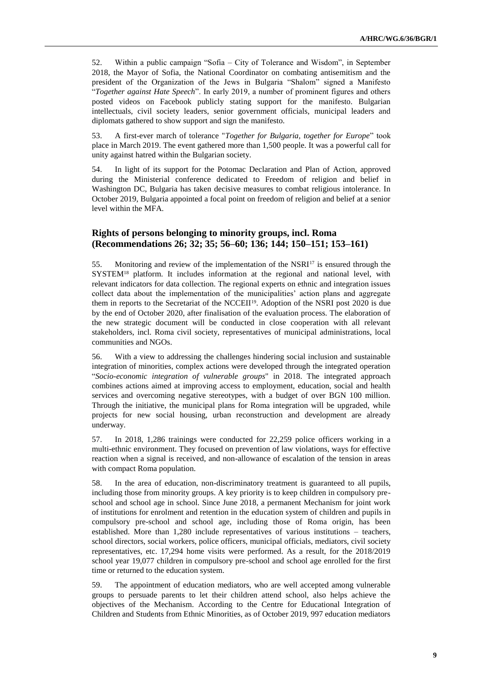52. Within a public campaign "Sofia – City of Tolerance and Wisdom", in September 2018, the Mayor of Sofia, the National Coordinator on combating antisemitism and the president of the Organization of the Jews in Bulgaria "Shalom" signed a Manifesto "*Together against Hate Speech*". In early 2019, a number of prominent figures and others posted videos on Facebook publicly stating support for the manifesto. Bulgarian intellectuals, civil society leaders, senior government officials, municipal leaders and diplomats gathered to show support and sign the manifesto.

53. A first-ever march of tolerance "*Together for Bulgaria, together for Europe*" took place in March 2019. The event gathered more than 1,500 people. It was a powerful call for unity against hatred within the Bulgarian society.

54. In light of its support for the Potomac Declaration and Plan of Action, approved during the Ministerial conference dedicated to Freedom of religion and belief in Washington DC, Bulgaria has taken decisive measures to combat religious intolerance. In October 2019, Bulgaria appointed a focal point on freedom of religion and belief at a senior level within the MFA.

#### **Rights of persons belonging to minority groups, incl. Roma (Recommendations 26; 32; 35; 56–60; 136; 144; 150–151; 153–161)**

55. Monitoring and review of the implementation of the NSRI<sup>17</sup> is ensured through the SYSTEM<sup>18</sup> platform. It includes information at the regional and national level, with relevant indicators for data collection. The regional experts on ethnic and integration issues collect data about the implementation of the municipalities' action plans and aggregate them in reports to the Secretariat of the NCCEII19. Adoption of the NSRI post 2020 is due by the end of October 2020, after finalisation of the evaluation process. The elaboration of the new strategic document will be conducted in close cooperation with all relevant stakeholders, incl. Roma civil society, representatives of municipal administrations, local communities and NGOs.

56. With a view to addressing the challenges hindering social inclusion and sustainable integration of minorities, complex actions were developed through the integrated operation "*Socio-economic integration of vulnerable groups*" in 2018. The integrated approach combines actions aimed at improving access to employment, education, social and health services and overcoming negative stereotypes, with a budget of over BGN 100 million. Through the initiative, the municipal plans for Roma integration will be upgraded, while projects for new social housing, urban reconstruction and development are already underway.

57. In 2018, 1,286 trainings were conducted for 22,259 police officers working in a multi-ethnic environment. They focused on prevention of law violations, ways for effective reaction when a signal is received, and non-allowance of escalation of the tension in areas with compact Roma population.

58. In the area of education, non-discriminatory treatment is guaranteed to all pupils, including those from minority groups. A key priority is to keep children in compulsory preschool and school age in school. Since June 2018, a permanent Mechanism for joint work of institutions for enrolment and retention in the education system of children and pupils in compulsory pre-school and school age, including those of Roma origin, has been established. More than 1,280 include representatives of various institutions – teachers, school directors, social workers, police officers, municipal officials, mediators, civil society representatives, etc. 17,294 home visits were performed. As a result, for the 2018/2019 school year 19,077 children in compulsory pre-school and school age enrolled for the first time or returned to the education system.

59. The appointment of education mediators, who are well accepted among vulnerable groups to persuade parents to let their children attend school, also helps achieve the objectives of the Mechanism. According to the Centre for Educational Integration of Children and Students from Ethnic Minorities, as of October 2019, 997 education mediators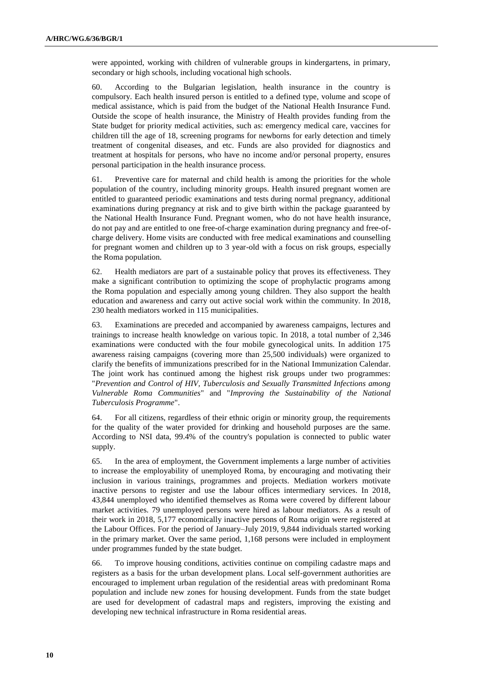were appointed, working with children of vulnerable groups in kindergartens, in primary, secondary or high schools, including vocational high schools.

60. According to the Bulgarian legislation, health insurance in the country is compulsory. Each health insured person is entitled to a defined type, volume and scope of medical assistance, which is paid from the budget of the National Health Insurance Fund. Outside the scope of health insurance, the Ministry of Health provides funding from the State budget for priority medical activities, such as: emergency medical care, vaccines for children till the age of 18, screening programs for newborns for early detection and timely treatment of congenital diseases, and etc. Funds are also provided for diagnostics and treatment at hospitals for persons, who have no income and/or personal property, ensures personal participation in the health insurance process.

61. Preventive care for maternal and child health is among the priorities for the whole population of the country, including minority groups. Health insured pregnant women are entitled to guaranteed periodic examinations and tests during normal pregnancy, additional examinations during pregnancy at risk and to give birth within the package guaranteed by the National Health Insurance Fund. Pregnant women, who do not have health insurance, do not pay and are entitled to one free-of-charge examination during pregnancy and free-ofcharge delivery. Home visits are conducted with free medical examinations and counselling for pregnant women and children up to 3 year-old with a focus on risk groups, especially the Roma population.

62. Health mediators are part of a sustainable policy that proves its effectiveness. They make a significant contribution to optimizing the scope of prophylactic programs among the Roma population and especially among young children. They also support the health education and awareness and carry out active social work within the community. In 2018, 230 health mediators worked in 115 municipalities.

63. Examinations are preceded and accompanied by awareness campaigns, lectures and trainings to increase health knowledge on various topic. In 2018, a total number of 2,346 examinations were conducted with the four mobile gynecological units. In addition 175 awareness raising campaigns (covering more than 25,500 individuals) were organized to clarify the benefits of immunizations prescribed for in the National Immunization Calendar. The joint work has continued among the highest risk groups under two programmes: "*Prevention and Control of HIV, Tuberculosis and Sexually Transmitted Infections among Vulnerable Roma Communities*" and "*Improving the Sustainability of the National Tuberculosis Programme*".

64. For all citizens, regardless of their ethnic origin or minority group, the requirements for the quality of the water provided for drinking and household purposes are the same. According to NSI data, 99.4% of the country's population is connected to public water supply.

65. In the area of employment, the Government implements a large number of activities to increase the employability of unemployed Roma, by encouraging and motivating their inclusion in various trainings, programmes and projects. Mediation workers motivate inactive persons to register and use the labour offices intermediary services. In 2018, 43,844 unemployed who identified themselves as Roma were covered by different labour market activities. 79 unemployed persons were hired as labour mediators. As a result of their work in 2018, 5,177 economically inactive persons of Roma origin were registered at the Labour Offices. For the period of January–July 2019, 9,844 individuals started working in the primary market. Over the same period, 1,168 persons were included in employment under programmes funded by the state budget.

66. To improve housing conditions, activities continue on compiling cadastre maps and registers as a basis for the urban development plans. Local self-government authorities are encouraged to implement urban regulation of the residential areas with predominant Roma population and include new zones for housing development. Funds from the state budget are used for development of cadastral maps and registers, improving the existing and developing new technical infrastructure in Roma residential areas.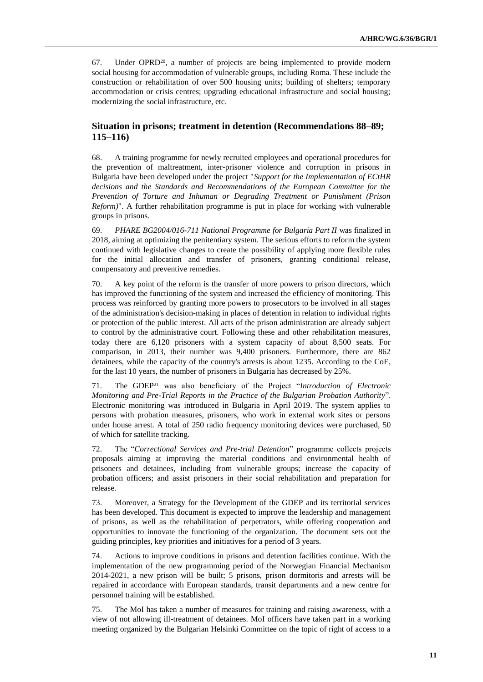67. Under  $OPRD^{20}$ , a number of projects are being implemented to provide modern social housing for accommodation of vulnerable groups, including Roma. These include the construction or rehabilitation of over 500 housing units; building of shelters; temporary accommodation or crisis centres; upgrading educational infrastructure and social housing; modernizing the social infrastructure, etc.

### **Situation in prisons; treatment in detention (Recommendations 88–89; 115–116)**

68. A training programme for newly recruited employees and operational procedures for the prevention of maltreatment, inter-prisoner violence and corruption in prisons in Bulgaria have been developed under the project "*Support for the Implementation of ECtHR decisions and the Standards and Recommendations of the European Committee for the Prevention of Torture and Inhuman or Degrading Treatment or Punishment (Prison Reform)*". A further rehabilitation programme is put in place for working with vulnerable groups in prisons.

69. *PHARE BG2004/016-711 National Programme for Bulgaria Part II* was finalized in 2018, aiming at optimizing the penitentiary system. The serious efforts to reform the system continued with legislative changes to create the possibility of applying more flexible rules for the initial allocation and transfer of prisoners, granting conditional release, compensatory and preventive remedies.

70. A key point of the reform is the transfer of more powers to prison directors, which has improved the functioning of the system and increased the efficiency of monitoring. This process was reinforced by granting more powers to prosecutors to be involved in all stages of the administration's decision-making in places of detention in relation to individual rights or protection of the public interest. All acts of the prison administration are already subject to control by the administrative court. Following these and other rehabilitation measures, today there are 6,120 prisoners with a system capacity of about 8,500 seats. For comparison, in 2013, their number was 9,400 prisoners. Furthermore, there are 862 detainees, while the capacity of the country's arrests is about 1235. According to the CoE, for the last 10 years, the number of prisoners in Bulgaria has decreased by 25%.

71. The GDEP<sup>21</sup> was also beneficiary of the Project "*Introduction of Electronic Monitoring and Pre-Trial Reports in the Practice of the Bulgarian Probation Authority*". Electronic monitoring was introduced in Bulgaria in April 2019. The system applies to persons with probation measures, prisoners, who work in external work sites or persons under house arrest. A total of 250 radio frequency monitoring devices were purchased, 50 of which for satellite tracking.

72. The "*Correctional Services and Pre-trial Detention*" programme collects projects proposals aiming at improving the material conditions and environmental health of prisoners and detainees, including from vulnerable groups; increase the capacity of probation officers; and assist prisoners in their social rehabilitation and preparation for release.

73. Moreover, a Strategy for the Development of the GDEP and its territorial services has been developed. This document is expected to improve the leadership and management of prisons, as well as the rehabilitation of perpetrators, while offering cooperation and opportunities to innovate the functioning of the organization. The document sets out the guiding principles, key priorities and initiatives for a period of 3 years.

74. Actions to improve conditions in prisons and detention facilities continue. With the implementation of the new programming period of the Norwegian Financial Mechanism 2014-2021, a new prison will be built; 5 prisons, prison dormitoris and arrests will be repaired in accordance with European standards, transit departments and a new centre for personnel training will be established.

75. The MoI has taken a number of measures for training and raising awareness, with a view of not allowing ill-treatment of detainees. MoI officers have taken part in a working meeting organized by the Bulgarian Helsinki Committee on the topic of right of access to a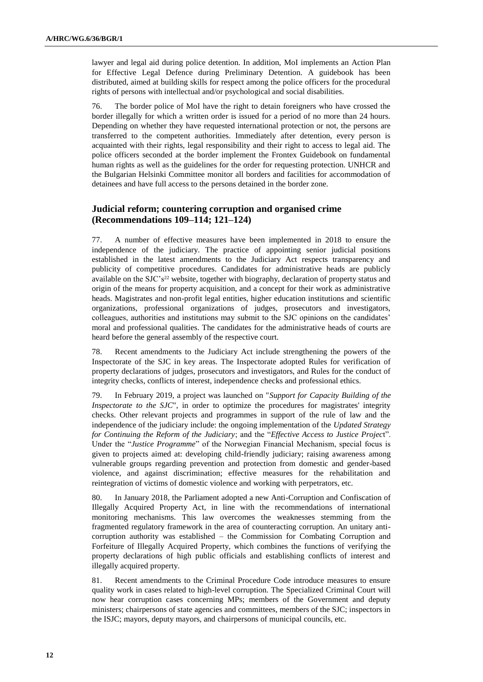lawyer and legal aid during police detention. In addition, MoI implements an Action Plan for Effective Legal Defence during Preliminary Detention. A guidebook has been distributed, aimed at building skills for respect among the police officers for the procedural rights of persons with intellectual and/or psychological and social disabilities.

76. The border police of MoI have the right to detain foreigners who have crossed the border illegally for which a written order is issued for a period of no more than 24 hours. Depending on whether they have requested international protection or not, the persons are transferred to the competent authorities. Immediately after detention, every person is acquainted with their rights, legal responsibility and their right to access to legal aid. The police officers seconded at the border implement the Frontex Guidebook on fundamental human rights as well as the guidelines for the order for requesting protection. UNHCR and the Bulgarian Helsinki Committee monitor all borders and facilities for accommodation of detainees and have full access to the persons detained in the border zone.

### **Judicial reform; countering corruption and organised crime (Recommendations 109–114; 121–124)**

77. A number of effective measures have been implemented in 2018 to ensure the independence of the judiciary. The practice of appointing senior judicial positions established in the latest amendments to the Judiciary Act respects transparency and publicity of competitive procedures. Candidates for administrative heads are publicly available on the SJC's<sup>22</sup> website, together with biography, declaration of property status and origin of the means for property acquisition, and a concept for their work as administrative heads. Magistrates and non-profit legal entities, higher education institutions and scientific organizations, professional organizations of judges, prosecutors and investigators, colleagues, authorities and institutions may submit to the SJC opinions on the candidates' moral and professional qualities. The candidates for the administrative heads of courts are heard before the general assembly of the respective court.

78. Recent amendments to the Judiciary Act include strengthening the powers of the Inspectorate of the SJC in key areas. The Inspectorate adopted Rules for verification of property declarations of judges, prosecutors and investigators, and Rules for the conduct of integrity checks, conflicts of interest, independence checks and professional ethics.

79. In February 2019, a project was launched on "*Support for Capacity Building of the Inspectorate to the SJC*", in order to optimize the procedures for magistrates' integrity checks. Other relevant projects and programmes in support of the rule of law and the independence of the judiciary include: the ongoing implementation of the *Updated Strategy for Continuing the Reform of the Judiciary*; and the "*Effective Access to Justice Projec*t". Under the "*Justice Programme*" of the Norwegian Financial Mechanism, special focus is given to projects aimed at: developing child-friendly judiciary; raising awareness among vulnerable groups regarding prevention and protection from domestic and gender-based violence, and against discrimination; effective measures for the rehabilitation and reintegration of victims of domestic violence and working with perpetrators, etc.

80. In January 2018, the Parliament adopted a new Anti-Corruption and Confiscation of Illegally Acquired Property Act, in line with the recommendations of international monitoring mechanisms. This law overcomes the weaknesses stemming from the fragmented regulatory framework in the area of counteracting corruption. An unitary anticorruption authority was established – the Commission for Combating Corruption and Forfeiture of Illegally Acquired Property, which combines the functions of verifying the property declarations of high public officials and establishing conflicts of interest and illegally acquired property.

81. Recent amendments to the Criminal Procedure Code introduce measures to ensure quality work in cases related to high-level corruption. The Specialized Criminal Court will now hear corruption cases concerning MPs; members of the Government and deputy ministers; chairpersons of state agencies and committees, members of the SJC; inspectors in the ISJC; mayors, deputy mayors, and chairpersons of municipal councils, etc.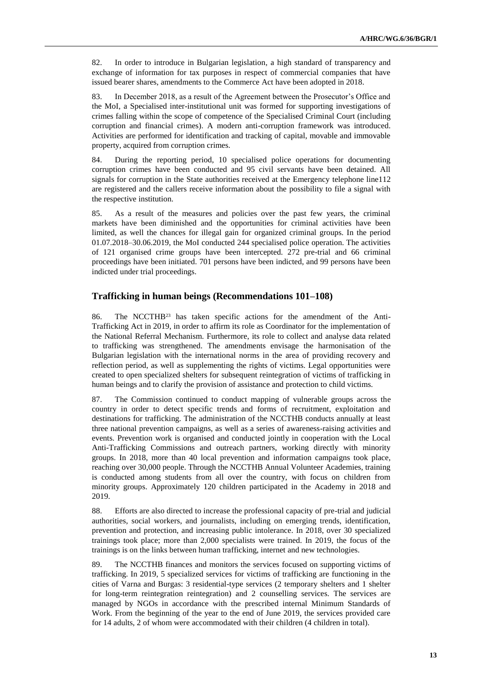82. In order to introduce in Bulgarian legislation, a high standard of transparency and exchange of information for tax purposes in respect of commercial companies that have issued bearer shares, amendments to the Commerce Act have been adopted in 2018.

83. In December 2018, as a result of the Agreement between the Prosecutor's Office and the MoI, a Specialised inter-institutional unit was formed for supporting investigations of crimes falling within the scope of competence of the Specialised Criminal Court (including corruption and financial crimes). A modern anti-corruption framework was introduced. Activities are performed for identification and tracking of capital, movable and immovable property, acquired from corruption crimes.

84. During the reporting period, 10 specialised police operations for documenting corruption crimes have been conducted and 95 civil servants have been detained. All signals for corruption in the State authorities received at the Emergency telephone line112 are registered and the callers receive information about the possibility to file a signal with the respective institution.

85. As a result of the measures and policies over the past few years, the criminal markets have been diminished and the opportunities for criminal activities have been limited, as well the chances for illegal gain for organized criminal groups. In the period 01.07.2018–30.06.2019, the MoI conducted 244 specialised police operation. The activities of 121 organised crime groups have been intercepted. 272 pre-trial and 66 criminal proceedings have been initiated. 701 persons have been indicted, and 99 persons have been indicted under trial proceedings.

#### **Trafficking in human beings (Recommendations 101–108)**

86. The NCCTHB<sup>23</sup> has taken specific actions for the amendment of the Anti-Trafficking Act in 2019, in order to affirm its role as Coordinator for the implementation of the National Referral Mechanism. Furthermore, its role to collect and analyse data related to trafficking was strengthened. The amendments envisage the harmonisation of the Bulgarian legislation with the international norms in the area of providing recovery and reflection period, as well as supplementing the rights of victims. Legal opportunities were created to open specialized shelters for subsequent reintegration of victims of trafficking in human beings and to clarify the provision of assistance and protection to child victims.

87. The Commission continued to conduct mapping of vulnerable groups across the country in order to detect specific trends and forms of recruitment, exploitation and destinations for trafficking. The administration of the NCCTHB conducts annually at least three national prevention campaigns, as well as a series of awareness-raising activities and events. Prevention work is organised and conducted jointly in cooperation with the Local Anti-Trafficking Commissions and outreach partners, working directly with minority groups. In 2018, more than 40 local prevention and information campaigns took place, reaching over 30,000 people. Through the NCCTHB Annual Volunteer Academies, training is conducted among students from all over the country, with focus on children from minority groups. Approximately 120 children participated in the Academy in 2018 and 2019.

88. Efforts are also directed to increase the professional capacity of pre-trial and judicial authorities, social workers, and journalists, including on emerging trends, identification, prevention and protection, and increasing public intolerance. In 2018, over 30 specialized trainings took place; more than 2,000 specialists were trained. In 2019, the focus of the trainings is on the links between human trafficking, internet and new technologies.

89. The NCCTHB finances and monitors the services focused on supporting victims of trafficking. In 2019, 5 specialized services for victims of trafficking are functioning in the cities of Varna and Burgas: 3 residential-type services (2 temporary shelters and 1 shelter for long-term reintegration reintegration) and 2 counselling services. The services are managed by NGOs in accordance with the prescribed internal Minimum Standards of Work. From the beginning of the year to the end of June 2019, the services provided care for 14 adults, 2 of whom were accommodated with their children (4 children in total).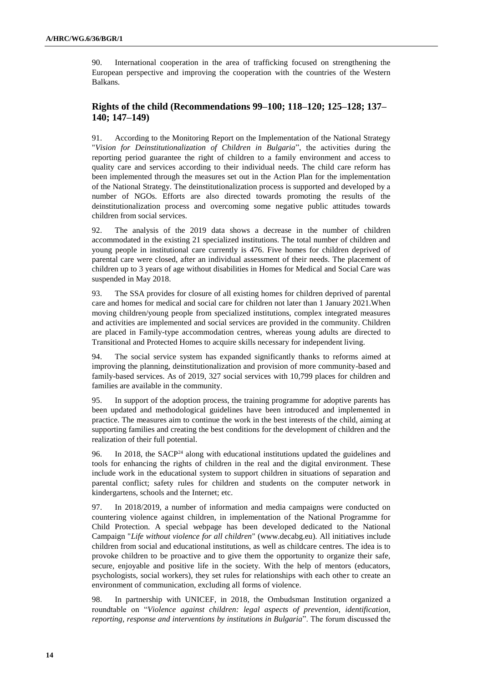90. International cooperation in the area of trafficking focused on strengthening the European perspective and improving the cooperation with the countries of the Western Balkans.

# **Rights of the child (Recommendations 99–100; 118–120; 125–128; 137– 140; 147–149)**

91. According to the Monitoring Report on the Implementation of the National Strategy "*Vision for Deinstitutionalization of Children in Bulgaria*", the activities during the reporting period guarantee the right of children to a family environment and access to quality care and services according to their individual needs. The child care reform has been implemented through the measures set out in the Action Plan for the implementation of the National Strategy. The deinstitutionalization process is supported and developed by a number of NGOs. Efforts are also directed towards promoting the results of the deinstitutionalization process and overcoming some negative public attitudes towards children from social services.

92. The analysis of the 2019 data shows a decrease in the number of children accommodated in the existing 21 specialized institutions. The total number of children and young people in institutional care currently is 476. Five homes for children deprived of parental care were closed, after an individual assessment of their needs. The placement of children up to 3 years of age without disabilities in Homes for Medical and Social Care was suspended in May 2018.

93. The SSA provides for closure of all existing homes for children deprived of parental care and homes for medical and social care for children not later than 1 January 2021.When moving children/young people from specialized institutions, complex integrated measures and activities are implemented and social services are provided in the community. Children are placed in Family-type accommodation centres, whereas young adults are directed to Transitional and Protected Homes to acquire skills necessary for independent living.

94. The social service system has expanded significantly thanks to reforms aimed at improving the planning, deinstitutionalization and provision of more community-based and family-based services. As of 2019, 327 social services with 10,799 places for children and families are available in the community.

95. In support of the adoption process, the training programme for adoptive parents has been updated and methodological guidelines have been introduced and implemented in practice. The measures aim to continue the work in the best interests of the child, aiming at supporting families and creating the best conditions for the development of children and the realization of their full potential.

96. In 2018, the SACP<sup>24</sup> along with educational institutions updated the guidelines and tools for enhancing the rights of children in the real and the digital environment. These include work in the educational system to support children in situations of separation and parental conflict; safety rules for children and students on the computer network in kindergartens, schools and the Internet; etc.

97. In 2018/2019, a number of information and media campaigns were conducted on countering violence against children, in implementation of the National Programme for Child Protection. A special webpage has been developed dedicated to the National Campaign "*Life without violence for all children*" [\(www.decabg.eu\)](http://www.decabg.eu/). All initiatives include children from social and educational institutions, as well as childcare centres. The idea is to provoke children to be proactive and to give them the opportunity to organize their safe, secure, enjoyable and positive life in the society. With the help of mentors (educators, psychologists, social workers), they set rules for relationships with each other to create an environment of communication, excluding all forms of violence.

98. In partnership with UNICEF, in 2018, the Ombudsman Institution organized a roundtable on "*Violence against children: legal aspects of prevention, identification, reporting, response and interventions by institutions in Bulgaria*". The forum discussed the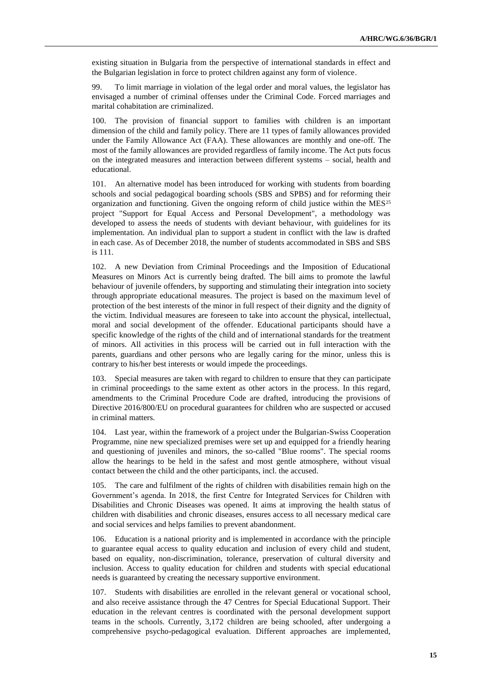existing situation in Bulgaria from the perspective of international standards in effect and the Bulgarian legislation in force to protect children against any form of violence.

99. To limit marriage in violation of the legal order and moral values, the legislator has envisaged a number of criminal offenses under the Criminal Code. Forced marriages and marital cohabitation are criminalized.

100. The provision of financial support to families with children is an important dimension of the child and family policy. There are 11 types of family allowances provided under the Family Allowance Act (FAA). These allowances are monthly and one-off. The most of the family allowances are provided regardless of family income. The Act puts focus on the integrated measures and interaction between different systems – social, health and educational.

101. An alternative model has been introduced for working with students from boarding schools and social pedagogical boarding schools (SBS and SPBS) and for reforming their organization and functioning. Given the ongoing reform of child justice within the  $MES^{25}$ project "Support for Equal Access and Personal Development", a methodology was developed to assess the needs of students with deviant behaviour, with guidelines for its implementation. An individual plan to support a student in conflict with the law is drafted in each case. As of December 2018, the number of students accommodated in SBS and SBS is 111.

102. A new Deviation from Criminal Proceedings and the Imposition of Educational Measures on Minors Act is currently being drafted. The bill aims to promote the lawful behaviour of juvenile offenders, by supporting and stimulating their integration into society through appropriate educational measures. The project is based on the maximum level of protection of the best interests of the minor in full respect of their dignity and the dignity of the victim. Individual measures are foreseen to take into account the physical, intellectual, moral and social development of the offender. Educational participants should have a specific knowledge of the rights of the child and of international standards for the treatment of minors. All activities in this process will be carried out in full interaction with the parents, guardians and other persons who are legally caring for the minor, unless this is contrary to his/her best interests or would impede the proceedings.

103. Special measures are taken with regard to children to ensure that they can participate in criminal proceedings to the same extent as other actors in the process. In this regard, amendments to the Criminal Procedure Code are drafted, introducing the provisions of Directive 2016/800/EU on procedural guarantees for children who are suspected or accused in criminal matters.

104. Last year, within the framework of a project under the Bulgarian-Swiss Cooperation Programme, nine new specialized premises were set up and equipped for a friendly hearing and questioning of juveniles and minors, the so-called "Blue rooms". The special rooms allow the hearings to be held in the safest and most gentle atmosphere, without visual contact between the child and the other participants, incl. the accused.

105. The care and fulfilment of the rights of children with disabilities remain high on the Government's agenda. In 2018, the first Centre for Integrated Services for Children with Disabilities and Chronic Diseases was opened. It aims at improving the health status of children with disabilities and chronic diseases, ensures access to all necessary medical care and social services and helps families to prevent abandonment.

106. Education is a national priority and is implemented in accordance with the principle to guarantee equal access to quality education and inclusion of every child and student, based on equality, non-discrimination, tolerance, preservation of cultural diversity and inclusion. Access to quality education for children and students with special educational needs is guaranteed by creating the necessary supportive environment.

107. Students with disabilities are enrolled in the relevant general or vocational school, and also receive assistance through the 47 Centres for Special Educational Support. Their education in the relevant centres is coordinated with the personal development support teams in the schools. Currently, 3,172 children are being schooled, after undergoing a comprehensive psycho-pedagogical evaluation. Different approaches are implemented,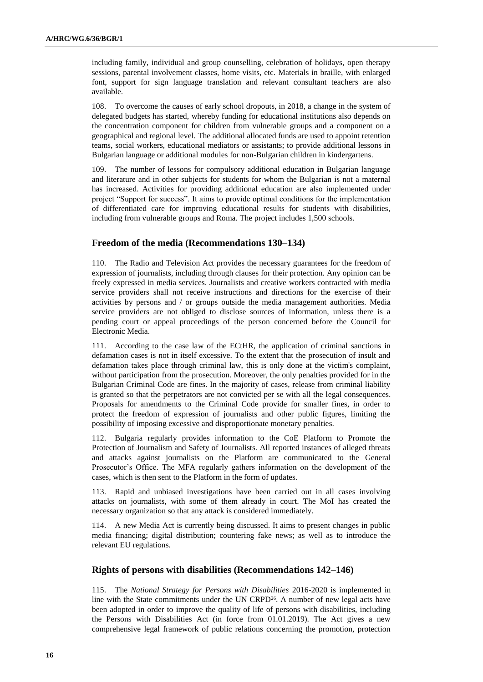including family, individual and group counselling, celebration of holidays, open therapy sessions, parental involvement classes, home visits, etc. Materials in braille, with enlarged font, support for sign language translation and relevant consultant teachers are also available.

108. To overcome the causes of early school dropouts, in 2018, a change in the system of delegated budgets has started, whereby funding for educational institutions also depends on the concentration component for children from vulnerable groups and a component on a geographical and regional level. The additional allocated funds are used to appoint retention teams, social workers, educational mediators or assistants; to provide additional lessons in Bulgarian language or additional modules for non-Bulgarian children in kindergartens.

109. The number of lessons for compulsory additional education in Bulgarian language and literature and in other subjects for students for whom the Bulgarian is not a maternal has increased. Activities for providing additional education are also implemented under project "Support for success". It aims to provide optimal conditions for the implementation of differentiated care for improving educational results for students with disabilities, including from vulnerable groups and Roma. The project includes 1,500 schools.

#### **Freedom of the media (Recommendations 130–134)**

110. The Radio and Television Act provides the necessary guarantees for the freedom of expression of journalists, including through clauses for their protection. Any opinion can be freely expressed in media services. Journalists and creative workers contracted with media service providers shall not receive instructions and directions for the exercise of their activities by persons and / or groups outside the media management authorities. Media service providers are not obliged to disclose sources of information, unless there is a pending court or appeal proceedings of the person concerned before the Council for Electronic Media.

111. According to the case law of the ECtHR, the application of criminal sanctions in defamation cases is not in itself excessive. To the extent that the prosecution of insult and defamation takes place through criminal law, this is only done at the victim's complaint, without participation from the prosecution. Moreover, the only penalties provided for in the Bulgarian Criminal Code are fines. In the majority of cases, release from criminal liability is granted so that the perpetrators are not convicted per se with all the legal consequences. Proposals for amendments to the Criminal Code provide for smaller fines, in order to protect the freedom of expression of journalists and other public figures, limiting the possibility of imposing excessive and disproportionate monetary penalties.

112. Bulgaria regularly provides information to the CoE Platform to Promote the Protection of Journalism and Safety of Journalists. All reported instances of alleged threats and attacks against journalists on the Platform are communicated to the General Prosecutor's Office. The MFA regularly gathers information on the development of the cases, which is then sent to the Platform in the form of updates.

113. Rapid and unbiased investigations have been carried out in all cases involving attacks on journalists, with some of them already in court. The MoI has created the necessary organization so that any attack is considered immediately.

114. A new Media Act is currently being discussed. It aims to present changes in public media financing; digital distribution; countering fake news; as well as to introduce the relevant EU regulations.

#### **Rights of persons with disabilities (Recommendations 142–146)**

115. The *National Strategy for Persons with Disabilities* 2016-2020 is implemented in line with the State commitments under the UN CRPD<sup>26</sup>. A number of new legal acts have been adopted in order to improve the quality of life of persons with disabilities, including the Persons with Disabilities Act (in force from 01.01.2019). The Act gives a new comprehensive legal framework of public relations concerning the promotion, protection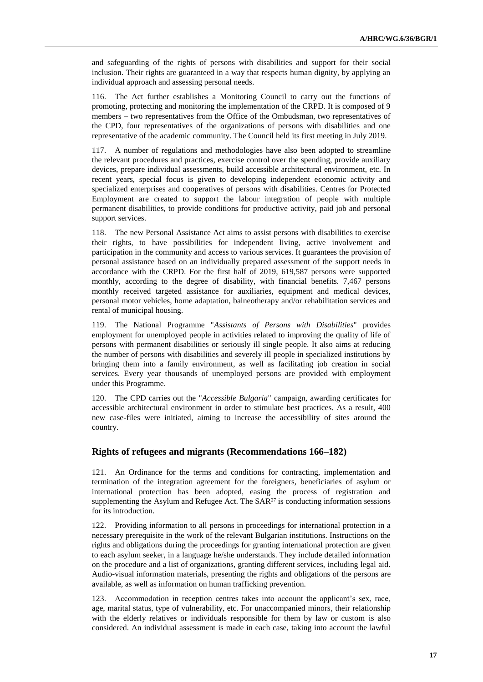and safeguarding of the rights of persons with disabilities and support for their social inclusion. Their rights are guaranteed in a way that respects human dignity, by applying an individual approach and assessing personal needs.

116. The Act further establishes a Monitoring Council to carry out the functions of promoting, protecting and monitoring the implementation of the CRPD. It is composed of 9 members – two representatives from the Office of the Ombudsman, two representatives of the CPD, four representatives of the organizations of persons with disabilities and one representative of the academic community. The Council held its first meeting in July 2019.

117. A number of regulations and methodologies have also been adopted to streamline the relevant procedures and practices, exercise control over the spending, provide auxiliary devices, prepare individual assessments, build accessible architectural environment, etc. In recent years, special focus is given to developing independent economic activity and specialized enterprises and cooperatives of persons with disabilities. Centres for Protected Employment are created to support the labour integration of people with multiple permanent disabilities, to provide conditions for productive activity, paid job and personal support services.

118. The new Personal Assistance Act aims to assist persons with disabilities to exercise their rights, to have possibilities for independent living, active involvement and participation in the community and access to various services. It guarantees the provision of personal assistance based on an individually prepared assessment of the support needs in accordance with the CRPD. For the first half of 2019, 619,587 persons were supported monthly, according to the degree of disability, with financial benefits. 7,467 persons monthly received targeted assistance for auxiliaries, equipment and medical devices, personal motor vehicles, home adaptation, balneotherapy and/or rehabilitation services and rental of municipal housing.

119. The National Programme "*Assistants of Persons with Disabilities*" provides employment for unemployed people in activities related to improving the quality of life of persons with permanent disabilities or seriously ill single people. It also aims at reducing the number of persons with disabilities and severely ill people in specialized institutions by bringing them into a family environment, as well as facilitating job creation in social services. Every year thousands of unemployed persons are provided with employment under this Programme.

120. The CPD carries out the "*Accessible Bulgaria*" campaign, awarding certificates for accessible architectural environment in order to stimulate best practices. As a result, 400 new case-files were initiated, aiming to increase the accessibility of sites around the country.

#### **Rights of refugees and migrants (Recommendations 166–182)**

121. An Ordinance for the terms and conditions for contracting, implementation and termination of the integration agreement for the foreigners, beneficiaries of asylum or international protection has been adopted, easing the process of registration and supplementing the Asylum and Refugee Act. The SAR<sup>27</sup> is conducting information sessions for its introduction.

122. Providing information to all persons in proceedings for international protection in a necessary prerequisite in the work of the relevant Bulgarian institutions. Instructions on the rights and obligations during the proceedings for granting international protection are given to each asylum seeker, in a language he/she understands. They include detailed information on the procedure and a list of organizations, granting different services, including legal aid. Audio-visual information materials, presenting the rights and obligations of the persons are available, as well as information on human trafficking prevention.

123. Accommodation in reception centres takes into account the applicant's sex, race, age, marital status, type of vulnerability, etc. For unaccompanied minors, their relationship with the elderly relatives or individuals responsible for them by law or custom is also considered. An individual assessment is made in each case, taking into account the lawful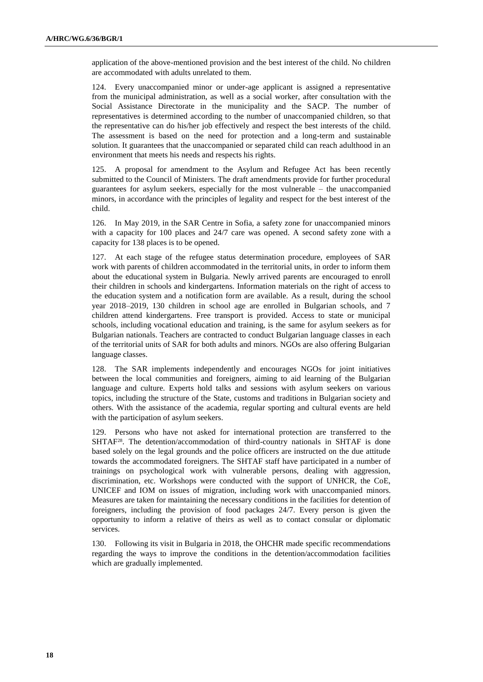application of the above-mentioned provision and the best interest of the child. No children are accommodated with adults unrelated to them.

124. Every unaccompanied minor or under-age applicant is assigned a representative from the municipal administration, as well as a social worker, after consultation with the Social Assistance Directorate in the municipality and the SACP. The number of representatives is determined according to the number of unaccompanied children, so that the representative can do his/her job effectively and respect the best interests of the child. The assessment is based on the need for protection and a long-term and sustainable solution. It guarantees that the unaccompanied or separated child can reach adulthood in an environment that meets his needs and respects his rights.

125. A proposal for amendment to the Asylum and Refugee Act has been recently submitted to the Council of Ministers. The draft amendments provide for further procedural guarantees for asylum seekers, especially for the most vulnerable – the unaccompanied minors, in accordance with the principles of legality and respect for the best interest of the child.

126. In May 2019, in the SAR Centre in Sofia, a safety zone for unaccompanied minors with a capacity for 100 places and 24/7 care was opened. A second safety zone with a capacity for 138 places is to be opened.

127. At each stage of the refugee status determination procedure, employees of SAR work with parents of children accommodated in the territorial units, in order to inform them about the educational system in Bulgaria. Newly arrived parents are encouraged to enroll their children in schools and kindergartens. Information materials on the right of access to the education system and a notification form are available. As a result, during the school year 2018–2019, 130 children in school age are enrolled in Bulgarian schools, and 7 children attend kindergartens. Free transport is provided. Access to state or municipal schools, including vocational education and training, is the same for asylum seekers as for Bulgarian nationals. Teachers are contracted to conduct Bulgarian language classes in each of the territorial units of SAR for both adults and minors. NGOs are also offering Bulgarian language classes.

128. The SAR implements independently and encourages NGOs for joint initiatives between the local communities and foreigners, aiming to aid learning of the Bulgarian language and culture. Experts hold talks and sessions with asylum seekers on various topics, including the structure of the State, customs and traditions in Bulgarian society and others. With the assistance of the academia, regular sporting and cultural events are held with the participation of asylum seekers.

129. Persons who have not asked for international protection are transferred to the SHTAF28. The detention/accommodation of third-country nationals in SHTAF is done based solely on the legal grounds and the police officers are instructed on the due attitude towards the accommodated foreigners. The SHTAF staff have participated in a number of trainings on psychological work with vulnerable persons, dealing with aggression, discrimination, etc. Workshops were conducted with the support of UNHCR, the CoE, UNICEF and IOM on issues of migration, including work with unaccompanied minors. Measures are taken for maintaining the necessary conditions in the facilities for detention of foreigners, including the provision of food packages 24/7. Every person is given the opportunity to inform a relative of theirs as well as to contact consular or diplomatic services.

130. Following its visit in Bulgaria in 2018, the OHCHR made specific recommendations regarding the ways to improve the conditions in the detention/accommodation facilities which are gradually implemented.